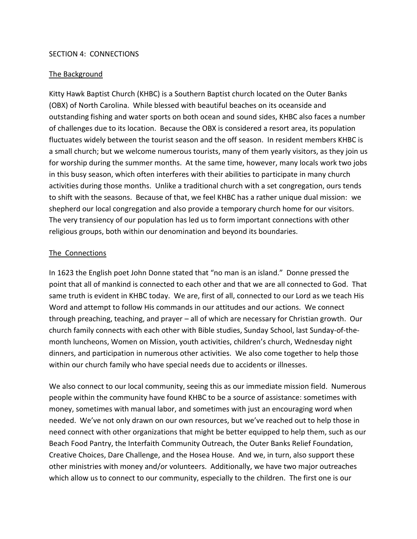## SECTION 4: CONNECTIONS

## The Background

Kitty Hawk Baptist Church (KHBC) is a Southern Baptist church located on the Outer Banks (OBX) of North Carolina. While blessed with beautiful beaches on its oceanside and outstanding fishing and water sports on both ocean and sound sides, KHBC also faces a number of challenges due to its location. Because the OBX is considered a resort area, its population fluctuates widely between the tourist season and the off season. In resident members KHBC is a small church; but we welcome numerous tourists, many of them yearly visitors, as they join us for worship during the summer months. At the same time, however, many locals work two jobs in this busy season, which often interferes with their abilities to participate in many church activities during those months. Unlike a traditional church with a set congregation, ours tends to shift with the seasons. Because of that, we feel KHBC has a rather unique dual mission: we shepherd our local congregation and also provide a temporary church home for our visitors. The very transiency of our population has led us to form important connections with other religious groups, both within our denomination and beyond its boundaries.

## The Connections

In 1623 the English poet John Donne stated that "no man is an island." Donne pressed the point that all of mankind is connected to each other and that we are all connected to God. That same truth is evident in KHBC today. We are, first of all, connected to our Lord as we teach His Word and attempt to follow His commands in our attitudes and our actions. We connect through preaching, teaching, and prayer – all of which are necessary for Christian growth. Our church family connects with each other with Bible studies, Sunday School, last Sunday-of-themonth luncheons, Women on Mission, youth activities, children's church, Wednesday night dinners, and participation in numerous other activities. We also come together to help those within our church family who have special needs due to accidents or illnesses.

We also connect to our local community, seeing this as our immediate mission field. Numerous people within the community have found KHBC to be a source of assistance: sometimes with money, sometimes with manual labor, and sometimes with just an encouraging word when needed. We've not only drawn on our own resources, but we've reached out to help those in need connect with other organizations that might be better equipped to help them, such as our Beach Food Pantry, the Interfaith Community Outreach, the Outer Banks Relief Foundation, Creative Choices, Dare Challenge, and the Hosea House. And we, in turn, also support these other ministries with money and/or volunteers. Additionally, we have two major outreaches which allow us to connect to our community, especially to the children. The first one is our